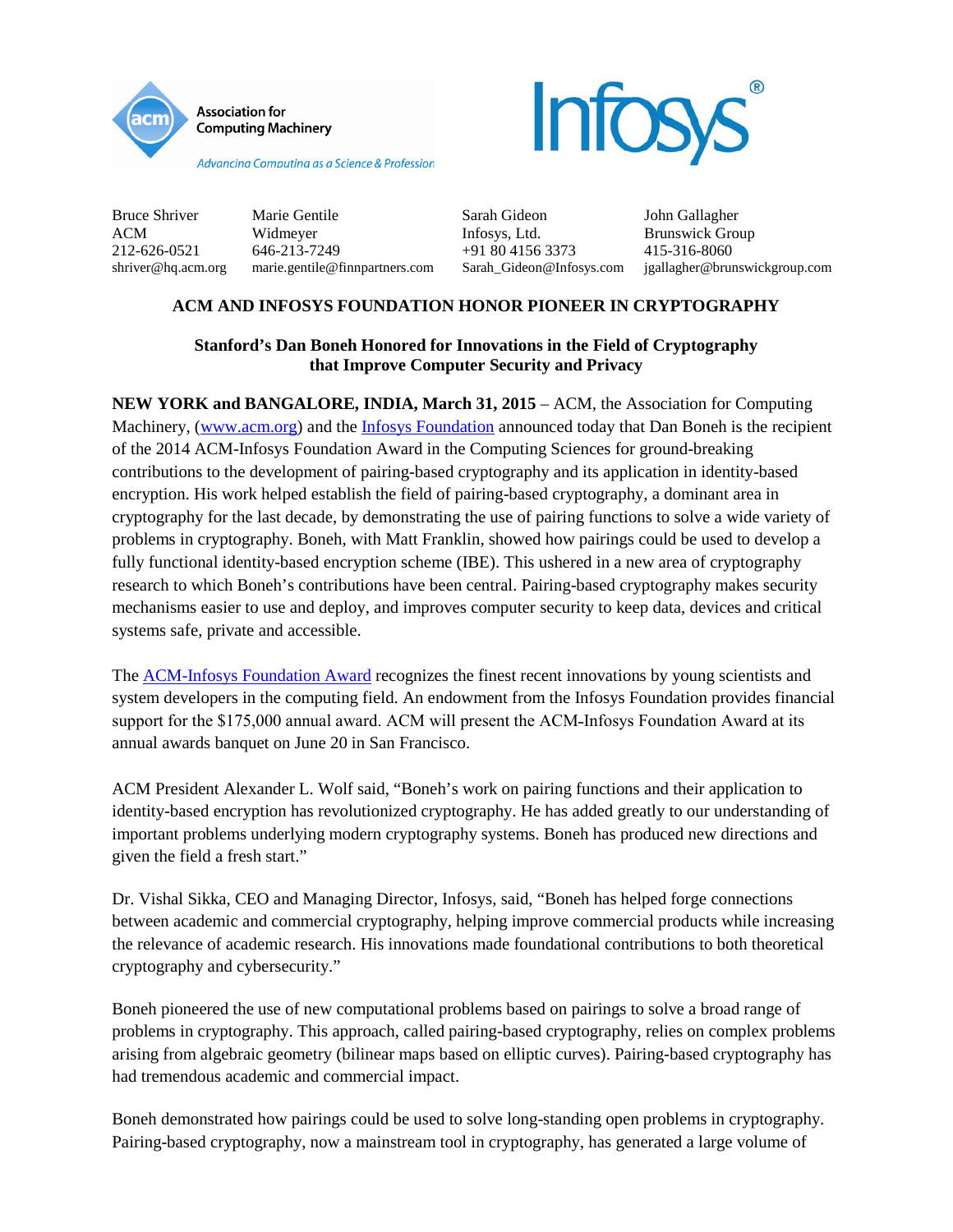



Bruce Shriver Marie Gentile Sarah Gideon John Gallagher ACM Widmeyer Infosys, Ltd. Brunswick Group 212-626-0521 646-213-7249 +91 80 4156 3373 415-316-8060 shriver@hq.acm.org marie.gentile@finnpartners.com Sarah\_Gideon@Infosys.com jgallagher@brunswickgroup.com

# **ACM AND INFOSYS FOUNDATION HONOR PIONEER IN CRYPTOGRAPHY**

## **Stanford's Dan Boneh Honored for Innovations in the Field of Cryptography that Improve Computer Security and Privacy**

**NEW YORK and BANGALORE, INDIA, March 31, 2015** – ACM, the Association for Computing Machinery, [\(www.acm.org\)](http://www.acm.org/) and the [Infosys Foundation](http://www.infosys.com/infosys-foundation/) announced today that Dan Boneh is the recipient of the 2014 ACM-Infosys Foundation Award in the Computing Sciences for ground-breaking contributions to the development of pairing-based cryptography and its application in identity-based encryption. His work helped establish the field of pairing-based cryptography, a dominant area in cryptography for the last decade, by demonstrating the use of pairing functions to solve a wide variety of problems in cryptography. Boneh, with Matt Franklin, showed how pairings could be used to develop a fully functional identity-based encryption scheme (IBE). This ushered in a new area of cryptography research to which Boneh's contributions have been central. Pairing-based cryptography makes security mechanisms easier to use and deploy, and improves computer security to keep data, devices and critical systems safe, private and accessible.

The **ACM-Infosys Foundation Award recognizes the finest recent innovations by young scientists and** system developers in the computing field. An endowment from the Infosys Foundation provides financial support for the \$175,000 annual award. ACM will present the ACM-Infosys Foundation Award at its annual awards banquet on June 20 in San Francisco.

ACM President Alexander L. Wolf said, "Boneh's work on pairing functions and their application to identity-based encryption has revolutionized cryptography. He has added greatly to our understanding of important problems underlying modern cryptography systems. Boneh has produced new directions and given the field a fresh start."

Dr. Vishal Sikka, CEO and Managing Director, Infosys, said, "Boneh has helped forge connections between academic and commercial cryptography, helping improve commercial products while increasing the relevance of academic research. His innovations made foundational contributions to both theoretical cryptography and cybersecurity."

Boneh pioneered the use of new computational problems based on pairings to solve a broad range of problems in cryptography. This approach, called pairing-based cryptography, relies on complex problems arising from algebraic geometry (bilinear maps based on elliptic curves). Pairing-based cryptography has had tremendous academic and commercial impact.

Boneh demonstrated how pairings could be used to solve long-standing open problems in cryptography. Pairing-based cryptography, now a mainstream tool in cryptography, has generated a large volume of